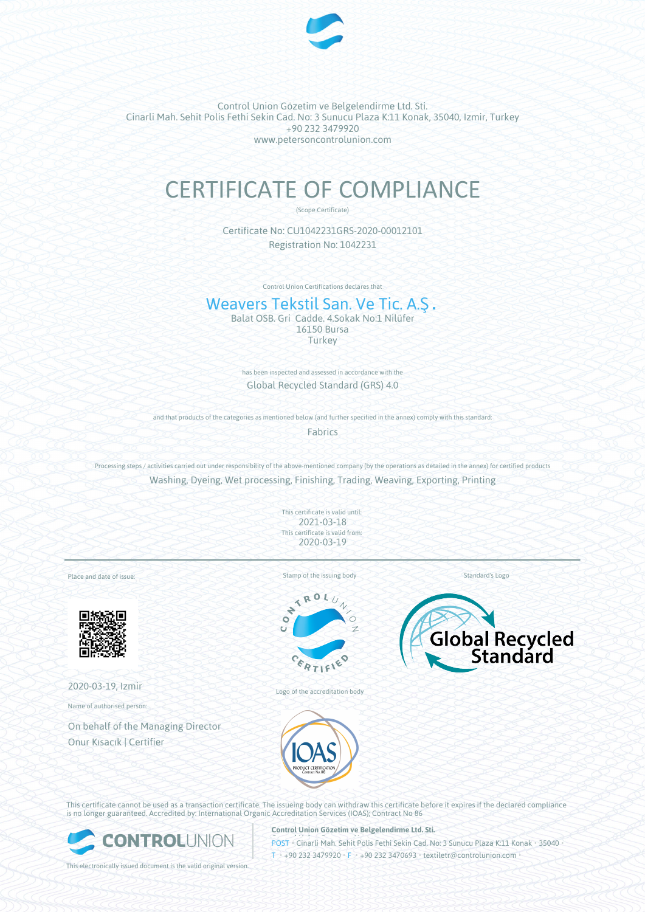

Control Union Gözetim ve Belgelendirme Ltd. Sti. Cinarli Mah. Sehit Polis Fethi Sekin Cad. No: 3 Sunucu Plaza K:11 Konak, 35040, Izmir, Turkey +90 232 3479920 www.petersoncontrolunion.com

# CERTIFICATE OF COMPLIANCE

(Scope Certificate)

Certificate No: CU1042231GRS-2020-00012101 Registration No: 1042231

Control Union Certifications declares that

# Weavers Tekstil San. Ve Tic. A.S.

Balat OSB. Gri Cadde. 4.Sokak No:1 Nilüfer 16150 Bursa **Turkey** 

> has been inspected and assessed in accordance with the Global Recycled Standard (GRS) 4.0

and that products of the categories as mentioned below (and further specified in the annex) comply with this standard: Fabrics

Processing steps / activities carried out under responsibility of the above-mentioned company (by the operations as detailed in the annex) for certified products Washing, Dyeing, Wet processing, Finishing, Trading, Weaving, Exporting, Printing

> This certificate is valid until: 2021-03-18 This certificate is valid from: 2020-03-19

Place and date of issue:



2020-03-19, Izmir

Name of authorised person:

On behalf of the Managing Director Onur Kısacık | Certifier

Stamp of the issuing body



Logo of the accreditation body



Standard's Logo



This certificate cannot be used as a transaction certificate. The issueing body can withdraw this certificate before it expires if the declared compliance is no longer guaranteed. Accredited by: International Organic Accreditation Services (IOAS); Contract No 86



This electronically issued document is the valid original version.

**Control Union Gözetim ve Belgelendirme Ltd. Sti.**

**POST • Cinarli Mah. Sehit Polis Fethi Sekin Cad. No: 3 Sunucu Plaza K:11 Konak • 35040 •**  $I_{\text{H}}$  +90 232 3479920 • F • +90 232 3470693 • textiletr@controlunion.com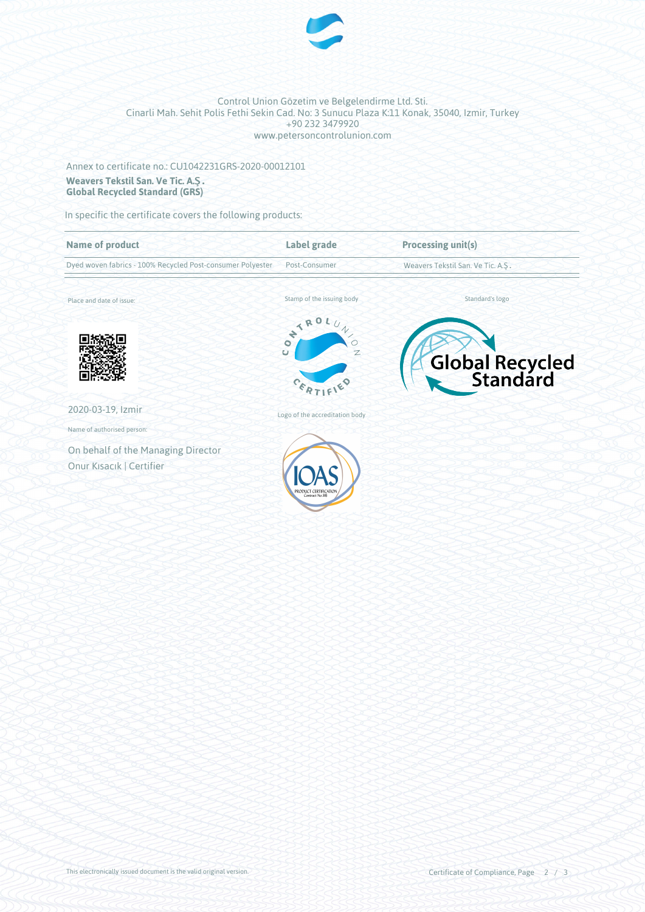

#### Control Union Gözetim ve Belgelendirme Ltd. Sti. Cinarli Mah. Sehit Polis Fethi Sekin Cad. No: 3 Sunucu Plaza K:11 Konak, 35040, Izmir, Turkey +90 232 3479920 www.petersoncontrolunion.com

## Annex to certificate no.: CU1042231GRS-2020-00012101 **Weavers Tekstil San. Ve Tic. A.Ş. Global Recycled Standard (GRS)**

In specific the certificate covers the following products:

| <b>Name of product</b>                                     | Label grade                                                             | <b>Processing unit(s)</b>         |
|------------------------------------------------------------|-------------------------------------------------------------------------|-----------------------------------|
| Dyed woven fabrics - 100% Recycled Post-consumer Polyester | Post-Consumer                                                           | Weavers Tekstil San. Ve Tic. A.Ş. |
| Place and date of issue:                                   | Stamp of the issuing body                                               | Standard's logo                   |
|                                                            | NTROL.<br>$\prime\prime$<br>$\overline{\bullet}$<br>$\overline{C}$<br>Z | Global Recycled                   |
| 2020-03-19, Izmir                                          | Logo of the accreditation body                                          |                                   |
| Name of authorised person:                                 |                                                                         |                                   |
| On behalf of the Managing Director                         |                                                                         |                                   |
| Onur Kısacık   Certifier                                   | PRODUCT CERTIFICATION<br>Contract No.86                                 |                                   |